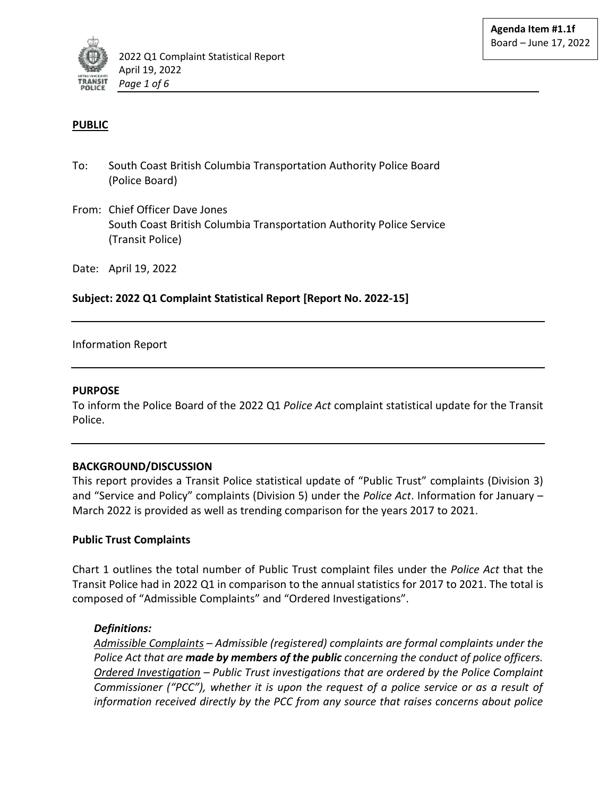

## **PUBLIC**

- To: South Coast British Columbia Transportation Authority Police Board (Police Board)
- From: Chief Officer Dave Jones South Coast British Columbia Transportation Authority Police Service (Transit Police)

Date: April 19, 2022

## **Subject: 2022 Q1 Complaint Statistical Report [Report No. 2022-15]**

### Information Report

### **PURPOSE**

To inform the Police Board of the 2022 Q1 *Police Act* complaint statistical update for the Transit Police.

### **BACKGROUND/DISCUSSION**

This report provides a Transit Police statistical update of "Public Trust" complaints (Division 3) and "Service and Policy" complaints (Division 5) under the *Police Act*. Information for January – March 2022 is provided as well as trending comparison for the years 2017 to 2021.

#### **Public Trust Complaints**

Chart 1 outlines the total number of Public Trust complaint files under the *Police Act* that the Transit Police had in 2022 Q1 in comparison to the annual statistics for 2017 to 2021. The total is composed of "Admissible Complaints" and "Ordered Investigations".

### *Definitions:*

*Admissible Complaints – Admissible (registered) complaints are formal complaints under the Police Act that are made by members of the public concerning the conduct of police officers. Ordered Investigation – Public Trust investigations that are ordered by the Police Complaint Commissioner ("PCC"), whether it is upon the request of a police service or as a result of information received directly by the PCC from any source that raises concerns about police*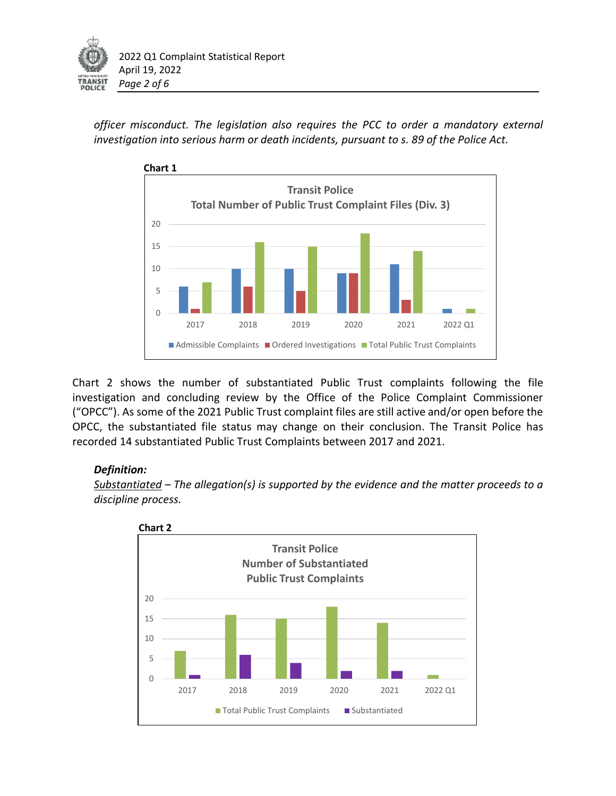

*officer misconduct. The legislation also requires the PCC to order a mandatory external investigation into serious harm or death incidents, pursuant to s. 89 of the Police Act.* 



Chart 2 shows the number of substantiated Public Trust complaints following the file investigation and concluding review by the Office of the Police Complaint Commissioner ("OPCC"). As some of the 2021 Public Trust complaint files are still active and/or open before the OPCC, the substantiated file status may change on their conclusion. The Transit Police has recorded 14 substantiated Public Trust Complaints between 2017 and 2021.

# *Definition:*

*Substantiated – The allegation(s) is supported by the evidence and the matter proceeds to a discipline process.* 

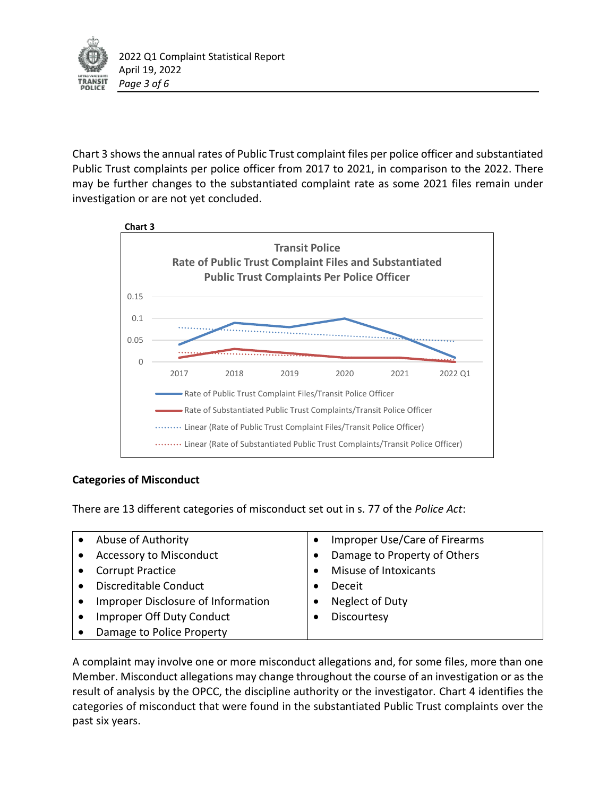

Chart 3 shows the annual rates of Public Trust complaint files per police officer and substantiated Public Trust complaints per police officer from 2017 to 2021, in comparison to the 2022. There may be further changes to the substantiated complaint rate as some 2021 files remain under investigation or are not yet concluded.



# **Categories of Misconduct**

There are 13 different categories of misconduct set out in s. 77 of the *Police Act*:

| Abuse of Authority                 | Improper Use/Care of Firearms |
|------------------------------------|-------------------------------|
| <b>Accessory to Misconduct</b>     | Damage to Property of Others  |
| <b>Corrupt Practice</b>            | Misuse of Intoxicants         |
| Discreditable Conduct              | Deceit                        |
| Improper Disclosure of Information | Neglect of Duty               |
| Improper Off Duty Conduct          | Discourtesy                   |
| Damage to Police Property          |                               |

A complaint may involve one or more misconduct allegations and, for some files, more than one Member. Misconduct allegations may change throughout the course of an investigation or as the result of analysis by the OPCC, the discipline authority or the investigator. Chart 4 identifies the categories of misconduct that were found in the substantiated Public Trust complaints over the past six years.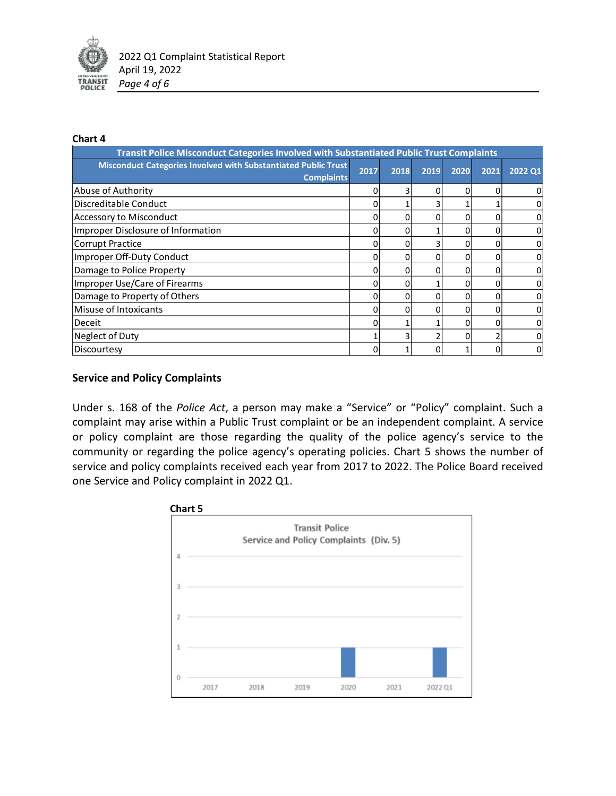

#### **Chart 4**

| Transit Police Misconduct Categories Involved with Substantiated Public Trust Complaints |      |          |          |      |      |                |  |  |  |
|------------------------------------------------------------------------------------------|------|----------|----------|------|------|----------------|--|--|--|
| Misconduct Categories Involved with Substantiated Public Trust<br><b>Complaints</b>      | 2017 | 2018     | 2019     | 2020 | 2021 | 2022 Q1        |  |  |  |
| Abuse of Authority                                                                       | 0    |          | 0        | 0    | 0    | 0              |  |  |  |
| Discreditable Conduct                                                                    | ი    |          | 3        |      |      | 0              |  |  |  |
| Accessory to Misconduct                                                                  |      |          | ი        |      |      | 0              |  |  |  |
| Improper Disclosure of Information                                                       | 0    | 0        |          | 0    | 0    | $\Omega$       |  |  |  |
| Corrupt Practice                                                                         | ი    | 0        | 3        | O    | ი    | 0              |  |  |  |
| Improper Off-Duty Conduct                                                                |      |          | ი        |      |      | 0              |  |  |  |
| Damage to Police Property                                                                | o    | $\Omega$ | 0        | 0    | ი    | 0              |  |  |  |
| Improper Use/Care of Firearms                                                            | ი    | 0        |          | O    | ი    | 0              |  |  |  |
| Damage to Property of Others                                                             | ი    |          | 0        |      |      | 0              |  |  |  |
| Misuse of Intoxicants                                                                    | o    | 0        | $\Omega$ | 0    | ი    | 0              |  |  |  |
| Deceit                                                                                   | ი    |          |          | 0    | ი    | $\overline{0}$ |  |  |  |
| Neglect of Duty                                                                          |      |          |          | O    |      | 0              |  |  |  |
| Discourtesy                                                                              | ი    |          | $\Omega$ |      |      | 0              |  |  |  |

### **Service and Policy Complaints**

Under s. 168 of the *Police Act*, a person may make a "Service" or "Policy" complaint. Such a complaint may arise within a Public Trust complaint or be an independent complaint. A service or policy complaint are those regarding the quality of the police agency's service to the community or regarding the police agency's operating policies. Chart 5 shows the number of service and policy complaints received each year from 2017 to 2022. The Police Board received one Service and Policy complaint in 2022 Q1.

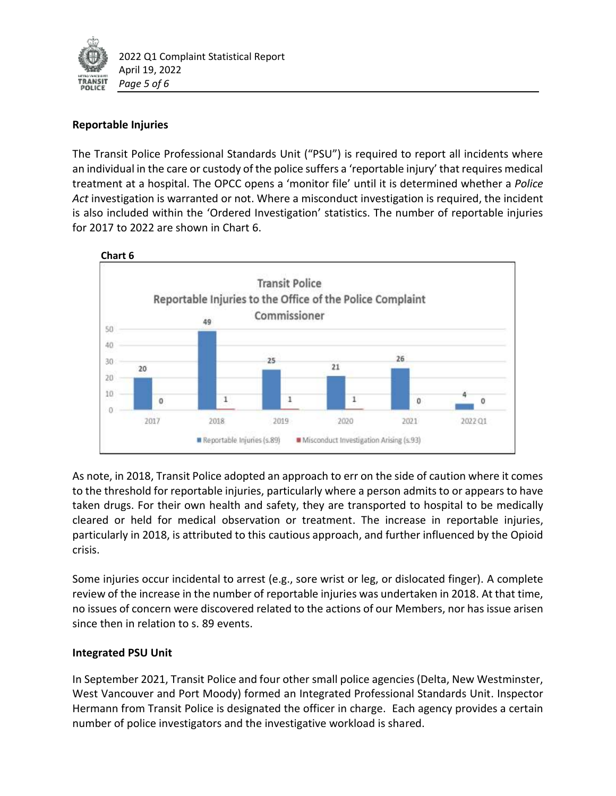

# **Reportable Injuries**

The Transit Police Professional Standards Unit ("PSU") is required to report all incidents where an individual in the care or custody of the police suffers a 'reportable injury' that requires medical treatment at a hospital. The OPCC opens a 'monitor file' until it is determined whether a *Police Act* investigation is warranted or not. Where a misconduct investigation is required, the incident is also included within the 'Ordered Investigation' statistics. The number of reportable injuries for 2017 to 2022 are shown in Chart 6.



As note, in 2018, Transit Police adopted an approach to err on the side of caution where it comes to the threshold for reportable injuries, particularly where a person admits to or appears to have taken drugs. For their own health and safety, they are transported to hospital to be medically cleared or held for medical observation or treatment. The increase in reportable injuries, particularly in 2018, is attributed to this cautious approach, and further influenced by the Opioid crisis.

Some injuries occur incidental to arrest (e.g., sore wrist or leg, or dislocated finger). A complete review of the increase in the number of reportable injuries was undertaken in 2018. At that time, no issues of concern were discovered related to the actions of our Members, nor has issue arisen since then in relation to s. 89 events.

### **Integrated PSU Unit**

In September 2021, Transit Police and four other small police agencies (Delta, New Westminster, West Vancouver and Port Moody) formed an Integrated Professional Standards Unit. Inspector Hermann from Transit Police is designated the officer in charge. Each agency provides a certain number of police investigators and the investigative workload is shared.